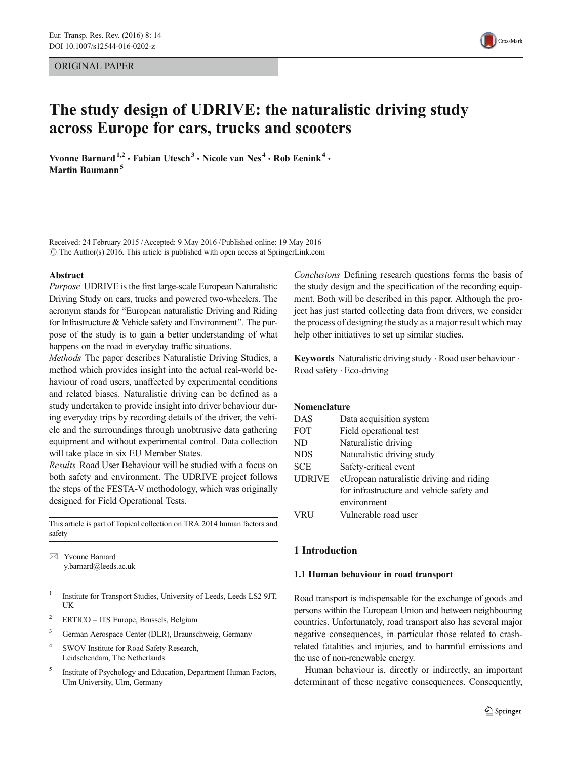## ORIGINAL PAPER



# The study design of UDRIVE: the naturalistic driving study across Europe for cars, trucks and scooters

Yvonne Barnard<sup>1,2</sup> · Fabian Utesch<sup>3</sup> · Nicole van Nes<sup>4</sup> · Rob Eenink<sup>4</sup> · Martin Baumann<sup>5</sup>

Received: 24 February 2015 /Accepted: 9 May 2016 /Published online: 19 May 2016  $\odot$  The Author(s) 2016. This article is published with open access at SpringerLink.com

#### Abstract

Purpose UDRIVE is the first large-scale European Naturalistic Driving Study on cars, trucks and powered two-wheelers. The acronym stands for "European naturalistic Driving and Riding" for Infrastructure & Vehicle safety and Environment^. The purpose of the study is to gain a better understanding of what happens on the road in everyday traffic situations.

Methods The paper describes Naturalistic Driving Studies, a method which provides insight into the actual real-world behaviour of road users, unaffected by experimental conditions and related biases. Naturalistic driving can be defined as a study undertaken to provide insight into driver behaviour during everyday trips by recording details of the driver, the vehicle and the surroundings through unobtrusive data gathering equipment and without experimental control. Data collection will take place in six EU Member States.

Results Road User Behaviour will be studied with a focus on both safety and environment. The UDRIVE project follows the steps of the FESTA-V methodology, which was originally designed for Field Operational Tests.

This article is part of Topical collection on TRA 2014 human factors and safety

 $\boxtimes$  Yvonne Barnard y.barnard@leeds.ac.uk

- <sup>1</sup> Institute for Transport Studies, University of Leeds, Leeds LS2 9JT, **IK**
- <sup>2</sup> ERTICO ITS Europe, Brussels, Belgium
- <sup>3</sup> German Aerospace Center (DLR), Braunschweig, Germany
- <sup>4</sup> SWOV Institute for Road Safety Research, Leidschendam, The Netherlands
- <sup>5</sup> Institute of Psychology and Education, Department Human Factors, Ulm University, Ulm, Germany

Conclusions Defining research questions forms the basis of the study design and the specification of the recording equipment. Both will be described in this paper. Although the project has just started collecting data from drivers, we consider the process of designing the study as a major result which may help other initiatives to set up similar studies.

Keywords Naturalistic driving study . Road user behaviour . Road safety . Eco-driving

# Nomenclature

| <b>DAS</b>    | Data acquisition system                   |
|---------------|-------------------------------------------|
| <b>FOT</b>    | Field operational test                    |
| ND            | Naturalistic driving                      |
| <b>NDS</b>    | Naturalistic driving study                |
| <b>SCE</b>    | Safety-critical event                     |
| <b>UDRIVE</b> | eUropean naturalistic driving and riding  |
|               | for infrastructure and vehicle safety and |
|               | environment                               |
|               | Vulnerable road user                      |

# 1 Introduction

## 1.1 Human behaviour in road transport

Road transport is indispensable for the exchange of goods and persons within the European Union and between neighbouring countries. Unfortunately, road transport also has several major negative consequences, in particular those related to crashrelated fatalities and injuries, and to harmful emissions and the use of non-renewable energy.

Human behaviour is, directly or indirectly, an important determinant of these negative consequences. Consequently,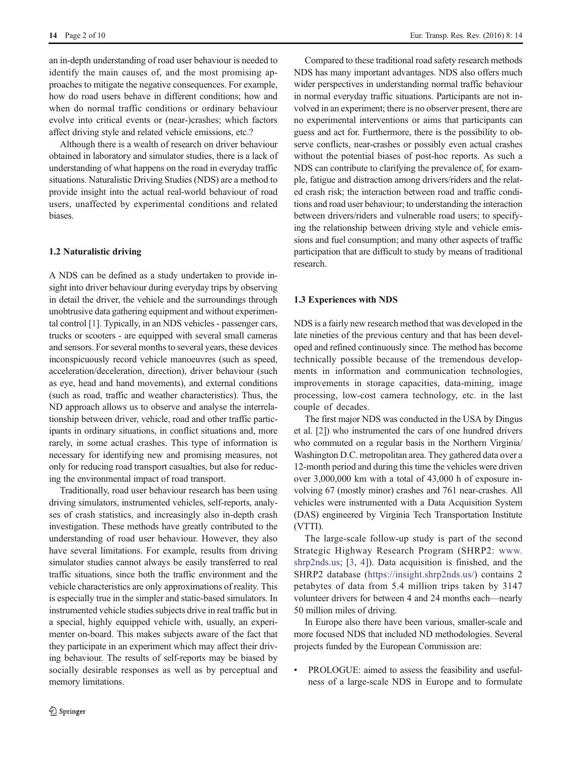an in-depth understanding of road user behaviour is needed to identify the main causes of, and the most promising approaches to mitigate the negative consequences. For example, how do road users behave in different conditions; how and when do normal traffic conditions or ordinary behaviour evolve into critical events or (near-)crashes; which factors affect driving style and related vehicle emissions, etc.?

Although there is a wealth of research on driver behaviour obtained in laboratory and simulator studies, there is a lack of understanding of what happens on the road in everyday traffic situations. Naturalistic Driving Studies (NDS) are a method to provide insight into the actual real-world behaviour of road users, unaffected by experimental conditions and related biases.

### 1.2 Naturalistic driving

A NDS can be defined as a study undertaken to provide insight into driver behaviour during everyday trips by observing in detail the driver, the vehicle and the surroundings through unobtrusive data gathering equipment and without experimental control [\[1](#page-8-0)]. Typically, in an NDS vehicles - passenger cars, trucks or scooters - are equipped with several small cameras and sensors. For several months to several years, these devices inconspicuously record vehicle manoeuvres (such as speed, acceleration/deceleration, direction), driver behaviour (such as eye, head and hand movements), and external conditions (such as road, traffic and weather characteristics). Thus, the ND approach allows us to observe and analyse the interrelationship between driver, vehicle, road and other traffic participants in ordinary situations, in conflict situations and, more rarely, in some actual crashes. This type of information is necessary for identifying new and promising measures, not only for reducing road transport casualties, but also for reducing the environmental impact of road transport.

Traditionally, road user behaviour research has been using driving simulators, instrumented vehicles, self-reports, analyses of crash statistics, and increasingly also in-depth crash investigation. These methods have greatly contributed to the understanding of road user behaviour. However, they also have several limitations. For example, results from driving simulator studies cannot always be easily transferred to real traffic situations, since both the traffic environment and the vehicle characteristics are only approximations of reality. This is especially true in the simpler and static-based simulators. In instrumented vehicle studies subjects drive in real traffic but in a special, highly equipped vehicle with, usually, an experimenter on-board. This makes subjects aware of the fact that they participate in an experiment which may affect their driving behaviour. The results of self-reports may be biased by socially desirable responses as well as by perceptual and memory limitations.

Compared to these traditional road safety research methods NDS has many important advantages. NDS also offers much wider perspectives in understanding normal traffic behaviour in normal everyday traffic situations. Participants are not involved in an experiment; there is no observer present, there are no experimental interventions or aims that participants can guess and act for. Furthermore, there is the possibility to observe conflicts, near-crashes or possibly even actual crashes without the potential biases of post-hoc reports. As such a NDS can contribute to clarifying the prevalence of, for example, fatigue and distraction among drivers/riders and the related crash risk; the interaction between road and traffic conditions and road user behaviour; to understanding the interaction between drivers/riders and vulnerable road users; to specifying the relationship between driving style and vehicle emissions and fuel consumption; and many other aspects of traffic participation that are difficult to study by means of traditional research.

### 1.3 Experiences with NDS

NDS is a fairly new research method that was developed in the late nineties of the previous century and that has been developed and refined continuously since. The method has become technically possible because of the tremendous developments in information and communication technologies, improvements in storage capacities, data-mining, image processing, low-cost camera technology, etc. in the last couple of decades.

The first major NDS was conducted in the USA by Dingus et al. [\[2\]](#page-8-0)) who instrumented the cars of one hundred drivers who commuted on a regular basis in the Northern Virginia Washington D.C. metropolitan area. They gathered data over a 12-month period and during this time the vehicles were driven over 3,000,000 km with a total of 43,000 h of exposure involving 67 (mostly minor) crashes and 761 near-crashes. All vehicles were instrumented with a Data Acquisition System (DAS) engineered by Virginia Tech Transportation Institute (VTTI).

The large-scale follow-up study is part of the second Strategic Highway Research Program (SHRP2: [www.](http://www.shrp2nds.us) [shrp2nds.us](http://www.shrp2nds.us); [[3](#page-8-0), [4\]](#page-8-0)). Data acquisition is finished, and the SHRP2 database ([https://insight.shrp2nds.us/\)](https://insight.shrp2nds.us/) contains 2 petabytes of data from 5.4 million trips taken by 3147 volunteer drivers for between 4 and 24 months each—nearly 50 million miles of driving.

In Europe also there have been various, smaller-scale and more focused NDS that included ND methodologies. Several projects funded by the European Commission are:

PROLOGUE: aimed to assess the feasibility and usefulness of a large-scale NDS in Europe and to formulate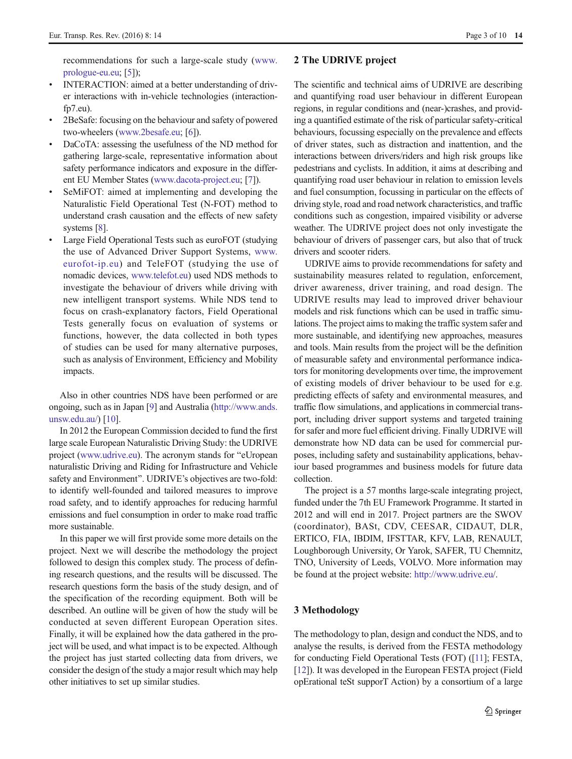- INTERACTION: aimed at a better understanding of driver interactions with in-vehicle technologies (interactionfp7.eu).
- & 2BeSafe: focusing on the behaviour and safety of powered two-wheelers ([www.2besafe.eu;](http://www.2besafe.eu) [\[6\]](#page-8-0)).
- DaCoTA: assessing the usefulness of the ND method for gathering large-scale, representative information about safety performance indicators and exposure in the different EU Member States [\(www.dacota-project.eu;](http://www.dacota-project.eu) [\[7](#page-8-0)]).
- SeMiFOT: aimed at implementing and developing the Naturalistic Field Operational Test (N-FOT) method to understand crash causation and the effects of new safety systems [\[8](#page-8-0)].
- Large Field Operational Tests such as euroFOT (studying the use of Advanced Driver Support Systems, [www.](http://www.eurofot-ip.eu) [eurofot-ip.eu](http://www.eurofot-ip.eu)) and TeleFOT (studying the use of nomadic devices, [www.telefot.eu\)](http://www.telefot.eu) used NDS methods to investigate the behaviour of drivers while driving with new intelligent transport systems. While NDS tend to focus on crash-explanatory factors, Field Operational Tests generally focus on evaluation of systems or functions, however, the data collected in both types of studies can be used for many alternative purposes, such as analysis of Environment, Efficiency and Mobility impacts.

Also in other countries NDS have been performed or are ongoing, such as in Japan [[9](#page-8-0)] and Australia [\(http://www.ands.](http://www.ands.unsw.edu.au/) [unsw.edu.au/\)](http://www.ands.unsw.edu.au/) [[10](#page-9-0)].

In 2012 the European Commission decided to fund the first large scale European Naturalistic Driving Study: the UDRIVE project ([www.udrive.eu\)](http://www.udrive.eu). The acronym stands for "eUropean naturalistic Driving and Riding for Infrastructure and Vehicle safety and Environment". UDRIVE's objectives are two-fold: to identify well-founded and tailored measures to improve road safety, and to identify approaches for reducing harmful emissions and fuel consumption in order to make road traffic more sustainable.

In this paper we will first provide some more details on the project. Next we will describe the methodology the project followed to design this complex study. The process of defining research questions, and the results will be discussed. The research questions form the basis of the study design, and of the specification of the recording equipment. Both will be described. An outline will be given of how the study will be conducted at seven different European Operation sites. Finally, it will be explained how the data gathered in the project will be used, and what impact is to be expected. Although the project has just started collecting data from drivers, we consider the design of the study a major result which may help other initiatives to set up similar studies.

# 2 The UDRIVE project

The scientific and technical aims of UDRIVE are describing and quantifying road user behaviour in different European regions, in regular conditions and (near-)crashes, and providing a quantified estimate of the risk of particular safety-critical behaviours, focussing especially on the prevalence and effects of driver states, such as distraction and inattention, and the interactions between drivers/riders and high risk groups like pedestrians and cyclists. In addition, it aims at describing and quantifying road user behaviour in relation to emission levels and fuel consumption, focussing in particular on the effects of driving style, road and road network characteristics, and traffic conditions such as congestion, impaired visibility or adverse weather. The UDRIVE project does not only investigate the behaviour of drivers of passenger cars, but also that of truck drivers and scooter riders.

UDRIVE aims to provide recommendations for safety and sustainability measures related to regulation, enforcement, driver awareness, driver training, and road design. The UDRIVE results may lead to improved driver behaviour models and risk functions which can be used in traffic simulations. The project aims to making the traffic system safer and more sustainable, and identifying new approaches, measures and tools. Main results from the project will be the definition of measurable safety and environmental performance indicators for monitoring developments over time, the improvement of existing models of driver behaviour to be used for e.g. predicting effects of safety and environmental measures, and traffic flow simulations, and applications in commercial transport, including driver support systems and targeted training for safer and more fuel efficient driving. Finally UDRIVE will demonstrate how ND data can be used for commercial purposes, including safety and sustainability applications, behaviour based programmes and business models for future data collection.

The project is a 57 months large-scale integrating project, funded under the 7th EU Framework Programme. It started in 2012 and will end in 2017. Project partners are the SWOV (coordinator), BASt, CDV, CEESAR, CIDAUT, DLR, ERTICO, FIA, IBDIM, IFSTTAR, KFV, LAB, RENAULT, Loughborough University, Or Yarok, SAFER, TU Chemnitz, TNO, University of Leeds, VOLVO. More information may be found at the project website: [http://www.udrive.eu/](http://www.udrive.eu).

# 3 Methodology

The methodology to plan, design and conduct the NDS, and to analyse the results, is derived from the FESTA methodology for conducting Field Operational Tests (FOT) ([\[11\]](#page-9-0); FESTA, [\[12](#page-9-0)]). It was developed in the European FESTA project (Field opErational teSt supporT Action) by a consortium of a large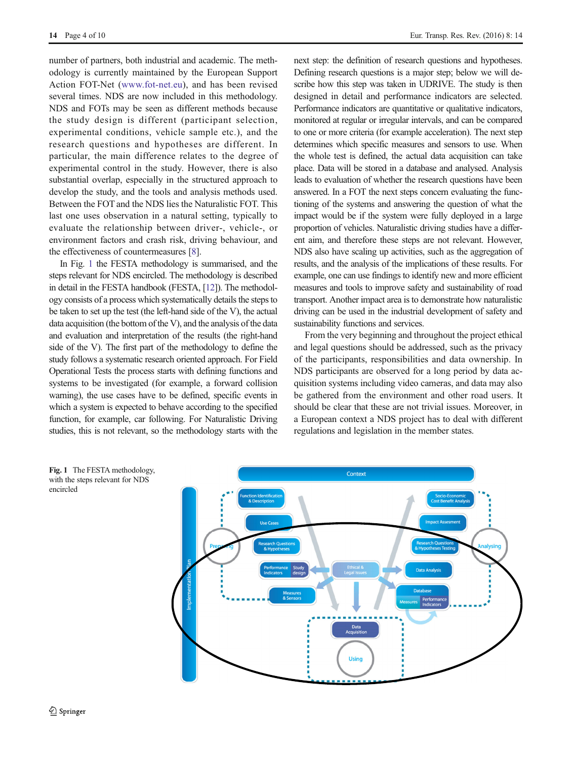number of partners, both industrial and academic. The methodology is currently maintained by the European Support Action FOT-Net ([www.fot-net.eu](http://www.fot-net.eu)), and has been revised several times. NDS are now included in this methodology. NDS and FOTs may be seen as different methods because the study design is different (participant selection, experimental conditions, vehicle sample etc.), and the research questions and hypotheses are different. In particular, the main difference relates to the degree of experimental control in the study. However, there is also substantial overlap, especially in the structured approach to develop the study, and the tools and analysis methods used. Between the FOT and the NDS lies the Naturalistic FOT. This last one uses observation in a natural setting, typically to evaluate the relationship between driver-, vehicle-, or environment factors and crash risk, driving behaviour, and the effectiveness of countermeasures [[8](#page-8-0)].

In Fig. 1 the FESTA methodology is summarised, and the steps relevant for NDS encircled. The methodology is described in detail in the FESTA handbook (FESTA, [\[12\]](#page-9-0)). The methodology consists of a process which systematically details the steps to be taken to set up the test (the left-hand side of the V), the actual data acquisition (the bottom of the V), and the analysis of the data and evaluation and interpretation of the results (the right-hand side of the V). The first part of the methodology to define the study follows a systematic research oriented approach. For Field Operational Tests the process starts with defining functions and systems to be investigated (for example, a forward collision warning), the use cases have to be defined, specific events in which a system is expected to behave according to the specified function, for example, car following. For Naturalistic Driving studies, this is not relevant, so the methodology starts with the next step: the definition of research questions and hypotheses. Defining research questions is a major step; below we will describe how this step was taken in UDRIVE. The study is then designed in detail and performance indicators are selected. Performance indicators are quantitative or qualitative indicators, monitored at regular or irregular intervals, and can be compared to one or more criteria (for example acceleration). The next step determines which specific measures and sensors to use. When the whole test is defined, the actual data acquisition can take place. Data will be stored in a database and analysed. Analysis leads to evaluation of whether the research questions have been answered. In a FOT the next steps concern evaluating the functioning of the systems and answering the question of what the impact would be if the system were fully deployed in a large proportion of vehicles. Naturalistic driving studies have a different aim, and therefore these steps are not relevant. However, NDS also have scaling up activities, such as the aggregation of results, and the analysis of the implications of these results. For example, one can use findings to identify new and more efficient measures and tools to improve safety and sustainability of road transport. Another impact area is to demonstrate how naturalistic driving can be used in the industrial development of safety and sustainability functions and services.

From the very beginning and throughout the project ethical and legal questions should be addressed, such as the privacy of the participants, responsibilities and data ownership. In NDS participants are observed for a long period by data acquisition systems including video cameras, and data may also be gathered from the environment and other road users. It should be clear that these are not trivial issues. Moreover, in a European context a NDS project has to deal with different regulations and legislation in the member states.



Fig. 1 The FESTA methodology, with the steps relevant for NDS encircled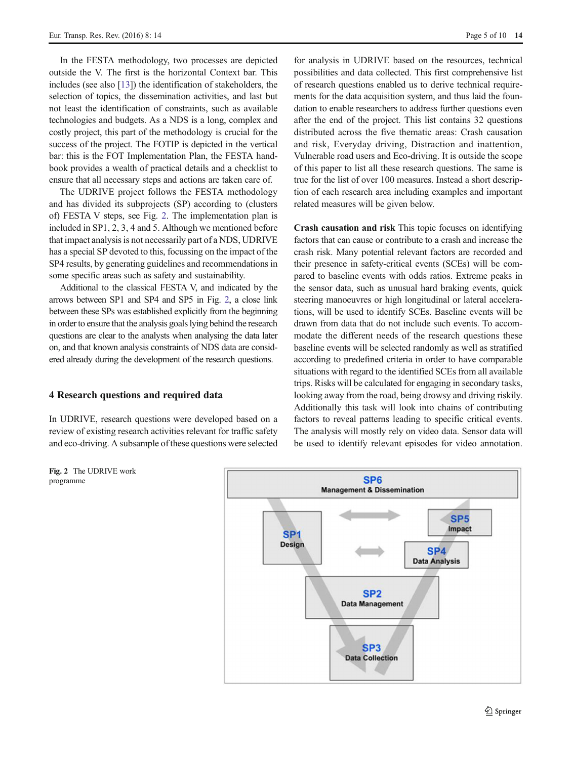In the FESTA methodology, two processes are depicted outside the V. The first is the horizontal Context bar. This includes (see also [[13](#page-9-0)]) the identification of stakeholders, the selection of topics, the dissemination activities, and last but not least the identification of constraints, such as available technologies and budgets. As a NDS is a long, complex and costly project, this part of the methodology is crucial for the success of the project. The FOTIP is depicted in the vertical bar: this is the FOT Implementation Plan, the FESTA handbook provides a wealth of practical details and a checklist to ensure that all necessary steps and actions are taken care of.

The UDRIVE project follows the FESTA methodology and has divided its subprojects (SP) according to (clusters of) FESTA V steps, see Fig. 2. The implementation plan is included in SP1, 2, 3, 4 and 5. Although we mentioned before that impact analysis is not necessarily part of a NDS, UDRIVE has a special SP devoted to this, focussing on the impact of the SP4 results, by generating guidelines and recommendations in some specific areas such as safety and sustainability.

Additional to the classical FESTA V, and indicated by the arrows between SP1 and SP4 and SP5 in Fig. 2, a close link between these SPs was established explicitly from the beginning in order to ensure that the analysis goals lying behind the research questions are clear to the analysts when analysing the data later on, and that known analysis constraints of NDS data are considered already during the development of the research questions.

## 4 Research questions and required data

In UDRIVE, research questions were developed based on a review of existing research activities relevant for traffic safety and eco-driving. A subsample of these questions were selected

Fig. 2 The UDRIVE work programme

for analysis in UDRIVE based on the resources, technical possibilities and data collected. This first comprehensive list of research questions enabled us to derive technical requirements for the data acquisition system, and thus laid the foundation to enable researchers to address further questions even after the end of the project. This list contains 32 questions distributed across the five thematic areas: Crash causation and risk, Everyday driving, Distraction and inattention, Vulnerable road users and Eco-driving. It is outside the scope of this paper to list all these research questions. The same is true for the list of over 100 measures. Instead a short description of each research area including examples and important related measures will be given below.

Crash causation and risk This topic focuses on identifying factors that can cause or contribute to a crash and increase the crash risk. Many potential relevant factors are recorded and their presence in safety-critical events (SCEs) will be compared to baseline events with odds ratios. Extreme peaks in the sensor data, such as unusual hard braking events, quick steering manoeuvres or high longitudinal or lateral accelerations, will be used to identify SCEs. Baseline events will be drawn from data that do not include such events. To accommodate the different needs of the research questions these baseline events will be selected randomly as well as stratified according to predefined criteria in order to have comparable situations with regard to the identified SCEs from all available trips. Risks will be calculated for engaging in secondary tasks, looking away from the road, being drowsy and driving riskily. Additionally this task will look into chains of contributing factors to reveal patterns leading to specific critical events. The analysis will mostly rely on video data. Sensor data will be used to identify relevant episodes for video annotation.

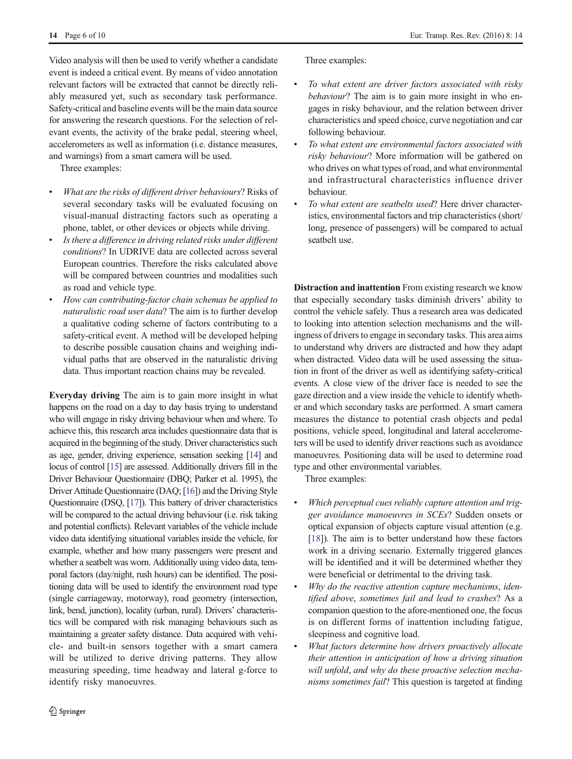Video analysis will then be used to verify whether a candidate event is indeed a critical event. By means of video annotation relevant factors will be extracted that cannot be directly reliably measured yet, such as secondary task performance. Safety-critical and baseline events will be the main data source for answering the research questions. For the selection of relevant events, the activity of the brake pedal, steering wheel, accelerometers as well as information (i.e. distance measures, and warnings) from a smart camera will be used.

Three examples:

- What are the risks of different driver behaviours? Risks of several secondary tasks will be evaluated focusing on visual-manual distracting factors such as operating a phone, tablet, or other devices or objects while driving.
- Is there a difference in driving related risks under different conditions? In UDRIVE data are collected across several European countries. Therefore the risks calculated above will be compared between countries and modalities such as road and vehicle type.
- & How can contributing-factor chain schemas be applied to naturalistic road user data? The aim is to further develop a qualitative coding scheme of factors contributing to a safety-critical event. A method will be developed helping to describe possible causation chains and weighing individual paths that are observed in the naturalistic driving data. Thus important reaction chains may be revealed.

Everyday driving The aim is to gain more insight in what happens on the road on a day to day basis trying to understand who will engage in risky driving behaviour when and where. To achieve this, this research area includes questionnaire data that is acquired in the beginning of the study. Driver characteristics such as age, gender, driving experience, sensation seeking [\[14\]](#page-9-0) and locus of control [\[15\]](#page-9-0) are assessed. Additionally drivers fill in the Driver Behaviour Questionnaire (DBQ; Parker et al. 1995), the Driver Attitude Questionnaire (DAQ; [\[16\]](#page-9-0)) and the Driving Style Questionnaire (DSQ, [\[17](#page-9-0)]). This battery of driver characteristics will be compared to the actual driving behaviour *(i.e. risk taking*) and potential conflicts). Relevant variables of the vehicle include video data identifying situational variables inside the vehicle, for example, whether and how many passengers were present and whether a seatbelt was worn. Additionally using video data, temporal factors (day/night, rush hours) can be identified. The positioning data will be used to identify the environment road type (single carriageway, motorway), road geometry (intersection, link, bend, junction), locality (urban, rural). Drivers' characteristics will be compared with risk managing behaviours such as maintaining a greater safety distance. Data acquired with vehicle- and built-in sensors together with a smart camera will be utilized to derive driving patterns. They allow measuring speeding, time headway and lateral g-force to identify risky manoeuvres.

Three examples:

- To what extent are driver factors associated with risky behaviour? The aim is to gain more insight in who engages in risky behaviour, and the relation between driver characteristics and speed choice, curve negotiation and car following behaviour.
- To what extent are environmental factors associated with risky behaviour? More information will be gathered on who drives on what types of road, and what environmental and infrastructural characteristics influence driver behaviour.
- To what extent are seatbelts used? Here driver characteristics, environmental factors and trip characteristics (short/ long, presence of passengers) will be compared to actual seatbelt use.

Distraction and inattention From existing research we know that especially secondary tasks diminish drivers' ability to control the vehicle safely. Thus a research area was dedicated to looking into attention selection mechanisms and the willingness of drivers to engage in secondary tasks. This area aims to understand why drivers are distracted and how they adapt when distracted. Video data will be used assessing the situation in front of the driver as well as identifying safety-critical events. A close view of the driver face is needed to see the gaze direction and a view inside the vehicle to identify whether and which secondary tasks are performed. A smart camera measures the distance to potential crash objects and pedal positions, vehicle speed, longitudinal and lateral accelerometers will be used to identify driver reactions such as avoidance manoeuvres. Positioning data will be used to determine road type and other environmental variables.

Three examples:

- & Which perceptual cues reliably capture attention and trigger avoidance manoeuvres in SCEs? Sudden onsets or optical expansion of objects capture visual attention (e.g. [\[18\]](#page-9-0)). The aim is to better understand how these factors work in a driving scenario. Externally triggered glances will be identified and it will be determined whether they were beneficial or detrimental to the driving task.
- Why do the reactive attention capture mechanisms, identified above, sometimes fail and lead to crashes? As a companion question to the afore-mentioned one, the focus is on different forms of inattention including fatigue, sleepiness and cognitive load.
- What factors determine how drivers proactively allocate their attention in anticipation of how a driving situation will unfold, and why do these proactive selection mechanisms sometimes fail? This question is targeted at finding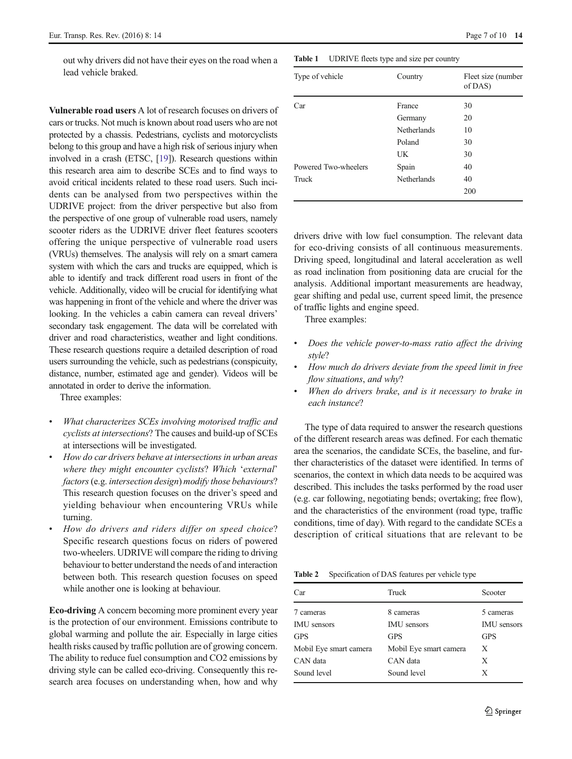<span id="page-6-0"></span>out why drivers did not have their eyes on the road when a lead vehicle braked.

Vulnerable road users A lot of research focuses on drivers of cars or trucks. Not much is known about road users who are not protected by a chassis. Pedestrians, cyclists and motorcyclists belong to this group and have a high risk of serious injury when involved in a crash (ETSC, [[19](#page-9-0)]). Research questions within this research area aim to describe SCEs and to find ways to avoid critical incidents related to these road users. Such incidents can be analysed from two perspectives within the UDRIVE project: from the driver perspective but also from the perspective of one group of vulnerable road users, namely scooter riders as the UDRIVE driver fleet features scooters offering the unique perspective of vulnerable road users (VRUs) themselves. The analysis will rely on a smart camera system with which the cars and trucks are equipped, which is able to identify and track different road users in front of the vehicle. Additionally, video will be crucial for identifying what was happening in front of the vehicle and where the driver was looking. In the vehicles a cabin camera can reveal drivers' secondary task engagement. The data will be correlated with driver and road characteristics, weather and light conditions. These research questions require a detailed description of road users surrounding the vehicle, such as pedestrians (conspicuity, distance, number, estimated age and gender). Videos will be annotated in order to derive the information.

Three examples:

- What characterizes SCEs involving motorised traffic and cyclists at intersections? The causes and build-up of SCEs at intersections will be investigated.
- & How do car drivers behave at intersections in urban areas where they might encounter cyclists? Which 'external' factors(e.g. intersection design) modify those behaviours? This research question focuses on the driver's speed and yielding behaviour when encountering VRUs while turning.
- How do drivers and riders differ on speed choice? Specific research questions focus on riders of powered two-wheelers. UDRIVE will compare the riding to driving behaviour to better understand the needs of and interaction between both. This research question focuses on speed while another one is looking at behaviour.

Eco-driving A concern becoming more prominent every year is the protection of our environment. Emissions contribute to global warming and pollute the air. Especially in large cities health risks caused by traffic pollution are of growing concern. The ability to reduce fuel consumption and CO2 emissions by driving style can be called eco-driving. Consequently this research area focuses on understanding when, how and why

#### Table 1 UDRIVE fleets type and size per country

| Type of vehicle      | Country            | Fleet size (number<br>of DAS) |
|----------------------|--------------------|-------------------------------|
| Car                  | France             | 30                            |
|                      | Germany            | 20                            |
|                      | <b>Netherlands</b> | 10                            |
|                      | Poland             | 30                            |
|                      | UK                 | 30                            |
| Powered Two-wheelers | Spain              | 40                            |
| Truck                | <b>Netherlands</b> | 40                            |
|                      |                    | 200                           |

drivers drive with low fuel consumption. The relevant data for eco-driving consists of all continuous measurements. Driving speed, longitudinal and lateral acceleration as well as road inclination from positioning data are crucial for the analysis. Additional important measurements are headway, gear shifting and pedal use, current speed limit, the presence of traffic lights and engine speed.

Three examples:

- Does the vehicle power-to-mass ratio affect the driving style?
- How much do drivers deviate from the speed limit in free flow situations, and why?
- When do drivers brake, and is it necessary to brake in each instance?

The type of data required to answer the research questions of the different research areas was defined. For each thematic area the scenarios, the candidate SCEs, the baseline, and further characteristics of the dataset were identified. In terms of scenarios, the context in which data needs to be acquired was described. This includes the tasks performed by the road user (e.g. car following, negotiating bends; overtaking; free flow), and the characteristics of the environment (road type, traffic conditions, time of day). With regard to the candidate SCEs a description of critical situations that are relevant to be

| Table 2<br>Specification of DAS features per vehicle type |  |
|-----------------------------------------------------------|--|
|-----------------------------------------------------------|--|

| Car                    | Truck                  | Scooter            |
|------------------------|------------------------|--------------------|
| 7 cameras              | 8 cameras              | 5 cameras          |
| <b>IMU</b> sensors     | <b>IMU</b> sensors     | <b>IMU</b> sensors |
| <b>GPS</b>             | <b>GPS</b>             | <b>GPS</b>         |
| Mobil Eye smart camera | Mobil Eye smart camera | X                  |
| CAN data               | CAN data               | X                  |
| Sound level            | Sound level            | X                  |
|                        |                        |                    |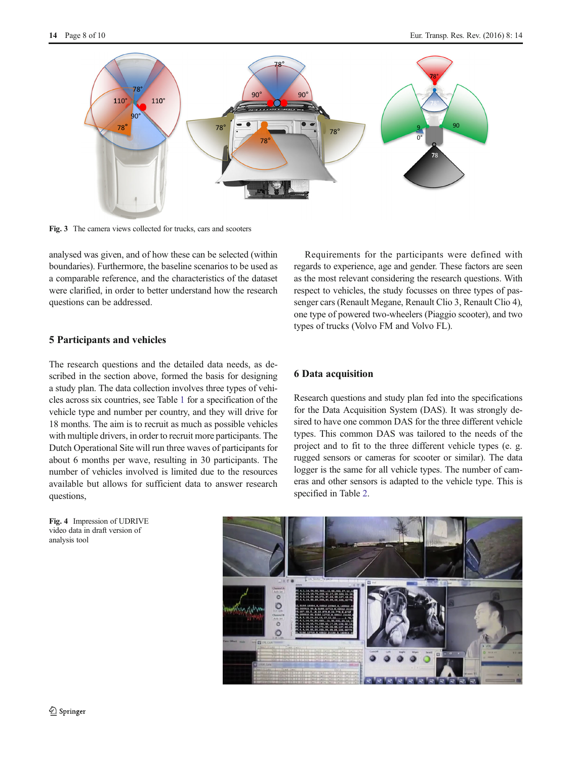<span id="page-7-0"></span>

Fig. 3 The camera views collected for trucks, cars and scooters

analysed was given, and of how these can be selected (within boundaries). Furthermore, the baseline scenarios to be used as a comparable reference, and the characteristics of the dataset were clarified, in order to better understand how the research questions can be addressed.

# 5 Participants and vehicles

The research questions and the detailed data needs, as described in the section above, formed the basis for designing a study plan. The data collection involves three types of vehicles across six countries, see Table [1](#page-6-0) for a specification of the vehicle type and number per country, and they will drive for 18 months. The aim is to recruit as much as possible vehicles with multiple drivers, in order to recruit more participants. The Dutch Operational Site will run three waves of participants for about 6 months per wave, resulting in 30 participants. The number of vehicles involved is limited due to the resources available but allows for sufficient data to answer research questions,

Fig. 4 Impression of UDRIVE video data in draft version of analysis tool

Requirements for the participants were defined with regards to experience, age and gender. These factors are seen as the most relevant considering the research questions. With respect to vehicles, the study focusses on three types of passenger cars (Renault Megane, Renault Clio 3, Renault Clio 4), one type of powered two-wheelers (Piaggio scooter), and two types of trucks (Volvo FM and Volvo FL).

# 6 Data acquisition

Research questions and study plan fed into the specifications for the Data Acquisition System (DAS). It was strongly desired to have one common DAS for the three different vehicle types. This common DAS was tailored to the needs of the project and to fit to the three different vehicle types (e. g. rugged sensors or cameras for scooter or similar). The data logger is the same for all vehicle types. The number of cameras and other sensors is adapted to the vehicle type. This is specified in Table [2.](#page-6-0)

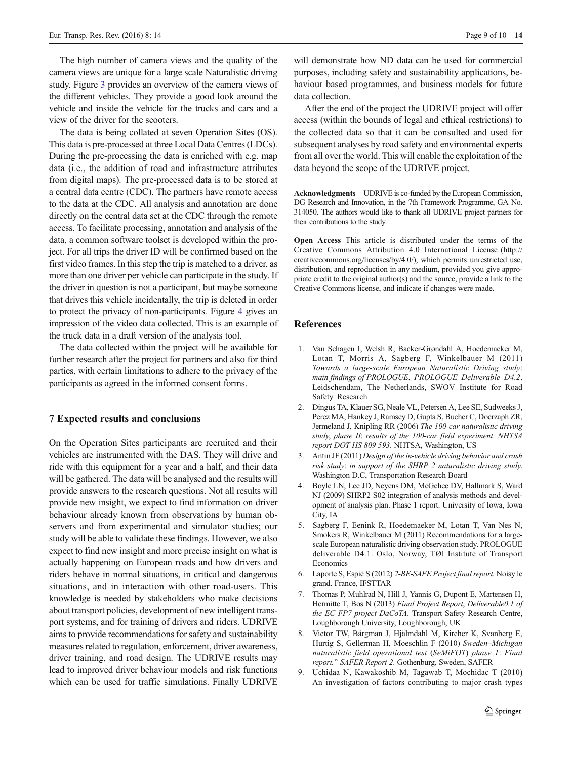<span id="page-8-0"></span>The high number of camera views and the quality of the camera views are unique for a large scale Naturalistic driving study. Figure [3](#page-7-0) provides an overview of the camera views of the different vehicles. They provide a good look around the vehicle and inside the vehicle for the trucks and cars and a view of the driver for the scooters.

The data is being collated at seven Operation Sites (OS). This data is pre-processed at three Local Data Centres (LDCs). During the pre-processing the data is enriched with e.g. map data (i.e., the addition of road and infrastructure attributes from digital maps). The pre-processed data is to be stored at a central data centre (CDC). The partners have remote access to the data at the CDC. All analysis and annotation are done directly on the central data set at the CDC through the remote access. To facilitate processing, annotation and analysis of the data, a common software toolset is developed within the project. For all trips the driver ID will be confirmed based on the first video frames. In this step the trip is matched to a driver, as more than one driver per vehicle can participate in the study. If the driver in question is not a participant, but maybe someone that drives this vehicle incidentally, the trip is deleted in order to protect the privacy of non-participants. Figure [4](#page-7-0) gives an impression of the video data collected. This is an example of the truck data in a draft version of the analysis tool.

The data collected within the project will be available for further research after the project for partners and also for third parties, with certain limitations to adhere to the privacy of the participants as agreed in the informed consent forms.

# 7 Expected results and conclusions

On the Operation Sites participants are recruited and their vehicles are instrumented with the DAS. They will drive and ride with this equipment for a year and a half, and their data will be gathered. The data will be analysed and the results will provide answers to the research questions. Not all results will provide new insight, we expect to find information on driver behaviour already known from observations by human observers and from experimental and simulator studies; our study will be able to validate these findings. However, we also expect to find new insight and more precise insight on what is actually happening on European roads and how drivers and riders behave in normal situations, in critical and dangerous situations, and in interaction with other road-users. This knowledge is needed by stakeholders who make decisions about transport policies, development of new intelligent transport systems, and for training of drivers and riders. UDRIVE aims to provide recommendations for safety and sustainability measures related to regulation, enforcement, driver awareness, driver training, and road design. The UDRIVE results may lead to improved driver behaviour models and risk functions which can be used for traffic simulations. Finally UDRIVE

will demonstrate how ND data can be used for commercial purposes, including safety and sustainability applications, behaviour based programmes, and business models for future data collection.

After the end of the project the UDRIVE project will offer access (within the bounds of legal and ethical restrictions) to the collected data so that it can be consulted and used for subsequent analyses by road safety and environmental experts from all over the world. This will enable the exploitation of the data beyond the scope of the UDRIVE project.

Acknowledgments UDRIVE is co-funded by the European Commission, DG Research and Innovation, in the 7th Framework Programme, GA No. 314050. The authors would like to thank all UDRIVE project partners for their contributions to the study.

Open Access This article is distributed under the terms of the Creative Commons Attribution 4.0 International License (http:// creativecommons.org/licenses/by/4.0/), which permits unrestricted use, distribution, and reproduction in any medium, provided you give appropriate credit to the original author(s) and the source, provide a link to the Creative Commons license, and indicate if changes were made.

# **References**

- 1. Van Schagen I, Welsh R, Backer-Grøndahl A, Hoedemaeker M, Lotan T, Morris A, Sagberg F, Winkelbauer M (2011) Towards a large-scale European Naturalistic Driving study: main findings of PROLOGUE. PROLOGUE Deliverable D4.2. Leidschendam, The Netherlands, SWOV Institute for Road Safety Research
- 2. Dingus TA, Klauer SG, Neale VL, Petersen A, Lee SE, Sudweeks J, Perez MA, Hankey J, Ramsey D, Gupta S, Bucher C, Doerzaph ZR, Jermeland J, Knipling RR (2006) The 100-car naturalistic driving study, phase II: results of the 100-car field experiment. NHTSA report DOT HS 809 593. NHTSA, Washington, US
- 3. Antin JF (2011) Design of the in-vehicle driving behavior and crash risk study: in support of the SHRP 2 naturalistic driving study. Washington D.C, Transportation Research Board
- 4. Boyle LN, Lee JD, Neyens DM, McGehee DV, Hallmark S, Ward NJ (2009) SHRP2 S02 integration of analysis methods and development of analysis plan. Phase 1 report. University of Iowa, Iowa City, IA
- 5. Sagberg F, Eenink R, Hoedemaeker M, Lotan T, Van Nes N, Smokers R, Winkelbauer M (2011) Recommendations for a largescale European naturalistic driving observation study. PROLOGUE deliverable D4.1. Oslo, Norway, TØI Institute of Transport Economics
- 6. Laporte S, Espié S (2012) 2-BE-SAFE Project final report. Noisy le grand. France, IFSTTAR
- 7. Thomas P, Muhlrad N, Hill J, Yannis G, Dupont E, Martensen H, Hermitte T, Bos N (2013) Final Project Report, Deliverable0.1 of the EC FP7 project DaCoTA. Transport Safety Research Centre, Loughborough University, Loughborough, UK
- 8. Victor TW, Bärgman J, Hjälmdahl M, Kircher K, Svanberg E, Hurtig S, Gellerman H, Moeschlin F (2010) Sweden–Michigan naturalistic field operational test (SeMiFOT) phase 1: Final report." SAFER Report 2. Gothenburg, Sweden, SAFER
- 9. Uchidaa N, Kawakoshib M, Tagawab T, Mochidac T (2010) An investigation of factors contributing to major crash types